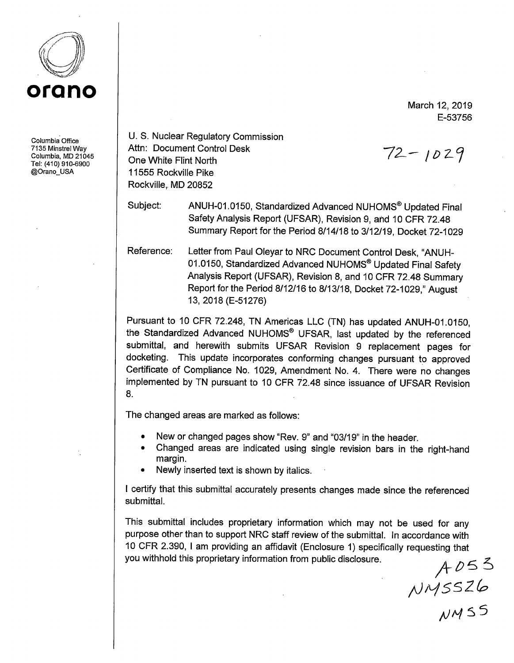

Columbia Office 7135 Minstrel Way Columbia, MD 21045 Tel: (410) 910-6900 @Orano\_USA

U.S. Nuclear Regulatory Commission Attn: Document Control Desk One White Flint North 11555 Rockville Pike Rockville, MD 20852

Subject: ANUH-01.0150, Standardized Advanced NUHOMS® Updated Final Safety Analysis Report (UFSAR), Revision 9, and 10 CFR 72.48 Summary Report for the Period 8/14/18 to 3/12/19, Docket 72-1029

Reference: Letter from Paul Oleyar to NRC Document Control Desk, "ANUH-01.0150, Standardized Advanced NUHOMS® Updated Final Safety Analysis Report (UFSAR), Revision 8, and 10 CFR 72.48 Summary Report for the Period 8/12/16 to 8/13/18, Docket 72-1029," August 13, 2018 (E-51276)

Pursuant to 10 CFR 72.248, TN Americas LLC (TN) has updated ANUH-01.0150, the Standardized Advanced NUHOMS® UFSAR, last updated by the referenced submittal, and herewith submits UFSAR Revision 9 replacement pages for docketing. This update incorporates conforming changes pursuant to approved Certificate of Compliance No. 1029, Amendment No. 4. There were no changes implemented by TN pursuant to 10 CFR 72.48 since issuance of UFSAR Revision 8.

The changed areas are marked as follows:

- New or changed pages show "Rev. 9" and "03/19" in the header.
- Changed areas are indicated using single revision bars in the right-hand margin.
- Newly inserted text is shown by italics.

I certify that this submittal accurately presents changes made since the referenced submittal.

This submittal includes proprietary information which may not be used for any purpose other than to support NRC staff review of the submittal. In accordance with <sup>1</sup>O CFR 2.390, I am providing an affidavit (Enclosure 1) specifically requesting that you withhold this proprietary information from public disclosure.

*/Jl~5SZ/p* 

*J,JH* 'S 5

March 12, 2019 E-53756

 $72 - 1029$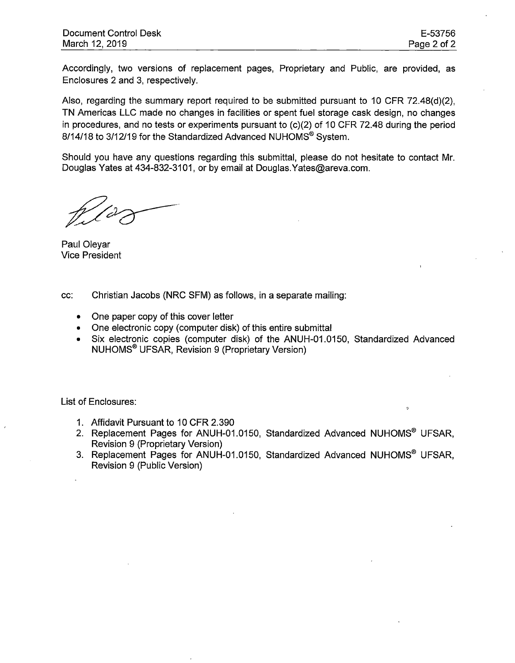Accordingly, two versions of replacement pages, Proprietary and Public, are provided, as Enclosures 2 and 3, respectively.

Also, regarding the summary report required to be submitted pursuant to 10 CFR 72.48(d)(2), TN Americas LLC made no changes in facilities or spent fuel storage cask design, no changes in procedures, and no tests or experiments pursuant to  $(c)(2)$  of 10 CFR 72.48 during the period 8/14/18 to 3/12/19 for the Standardized Advanced NUHOMS® System.

Should you have any questions regarding this submittal, please do not hesitate to contact Mr. Douglas Yates at 434-832-3101, or by email at Douglas.Yates@areva.com.

Paul Oleyar Vice President

cc: Christian Jacobs (NRC SFM) as follows, in a separate mailing:

- One paper copy of this cover letter
- One electronic copy (computer disk) of this entire submittal
- Six electronic copies (computer disk) of the ANUH-01.0150, Standardized Advanced NUHOMS® UFSAR, Revision 9 (Proprietary Version)

List of Enclosures:

- 1. Affidavit Pursuant to 10 CFR 2.390
- 2. Replacement Pages for ANUH-01.0150, Standardized Advanced NUHOMS® UFSAR, Revision 9 (Proprietary Version)
- 3. Replacement Pages for ANUH-01.0150, Standardized Advanced NUHOMS® UFSAR, Revision 9 (Public Version)